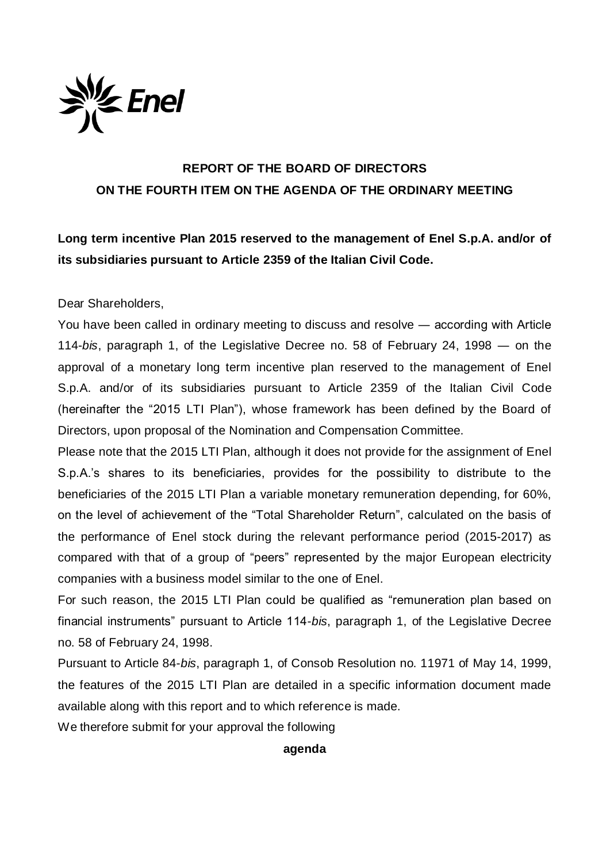

## **REPORT OF THE BOARD OF DIRECTORS ON THE FOURTH ITEM ON THE AGENDA OF THE ORDINARY MEETING**

**Long term incentive Plan 2015 reserved to the management of Enel S.p.A. and/or of its subsidiaries pursuant to Article 2359 of the Italian Civil Code.**

Dear Shareholders,

You have been called in ordinary meeting to discuss and resolve ― according with Article 114-*bis*, paragraph 1, of the Legislative Decree no. 58 of February 24, 1998 ― on the approval of a monetary long term incentive plan reserved to the management of Enel S.p.A. and/or of its subsidiaries pursuant to Article 2359 of the Italian Civil Code (hereinafter the "2015 LTI Plan"), whose framework has been defined by the Board of Directors, upon proposal of the Nomination and Compensation Committee.

Please note that the 2015 LTI Plan, although it does not provide for the assignment of Enel S.p.A.'s shares to its beneficiaries, provides for the possibility to distribute to the beneficiaries of the 2015 LTI Plan a variable monetary remuneration depending, for 60%, on the level of achievement of the "Total Shareholder Return", calculated on the basis of the performance of Enel stock during the relevant performance period (2015-2017) as compared with that of a group of "peers" represented by the major European electricity companies with a business model similar to the one of Enel.

For such reason, the 2015 LTI Plan could be qualified as "remuneration plan based on financial instruments" pursuant to Article 114-*bis*, paragraph 1, of the Legislative Decree no. 58 of February 24, 1998.

Pursuant to Article 84-*bis*, paragraph 1, of Consob Resolution no. 11971 of May 14, 1999, the features of the 2015 LTI Plan are detailed in a specific information document made available along with this report and to which reference is made.

We therefore submit for your approval the following

## **agenda**